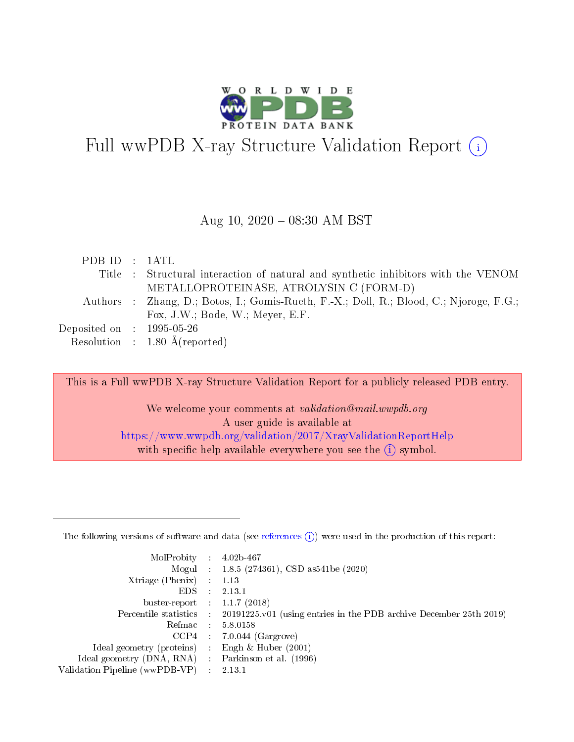

# Full wwPDB X-ray Structure Validation Report  $(i)$

#### Aug 10,  $2020 - 08:30$  AM BST

| PDB ID : 1ATL               |                                                                                         |
|-----------------------------|-----------------------------------------------------------------------------------------|
|                             | Title : Structural interaction of natural and synthetic inhibitors with the VENOM       |
|                             | METALLOPROTEINASE, ATROLYSIN C (FORM-D)                                                 |
|                             | Authors : Zhang, D.; Botos, I.; Gomis-Rueth, F.-X.; Doll, R.; Blood, C.; Njoroge, F.G.; |
|                             | Fox, J.W.; Bode, W.; Meyer, E.F.                                                        |
| Deposited on : $1995-05-26$ |                                                                                         |
|                             | Resolution : $1.80 \text{ Å}$ (reported)                                                |

This is a Full wwPDB X-ray Structure Validation Report for a publicly released PDB entry.

We welcome your comments at validation@mail.wwpdb.org A user guide is available at <https://www.wwpdb.org/validation/2017/XrayValidationReportHelp> with specific help available everywhere you see the  $(i)$  symbol.

The following versions of software and data (see [references](https://www.wwpdb.org/validation/2017/XrayValidationReportHelp#references)  $(1)$ ) were used in the production of this report:

| MolProbity                     | $\mathcal{L}_{\mathcal{L}}$ | $4.02b - 467$                                                                |
|--------------------------------|-----------------------------|------------------------------------------------------------------------------|
|                                |                             | Mogul : $1.8.5$ (274361), CSD as 541be (2020)                                |
| Xtriage (Phenix)               |                             | 1.13                                                                         |
| EDS.                           |                             | 2.13.1                                                                       |
| buster-report : $1.1.7(2018)$  |                             |                                                                              |
| Percentile statistics :        |                             | $20191225 \text{ v}01$ (using entries in the PDB archive December 25th 2019) |
| Refmac                         |                             | 5.8.0158                                                                     |
| CCP4                           |                             | $7.0.044$ (Gargrove)                                                         |
| Ideal geometry (proteins)      |                             | Engh $\&$ Huber (2001)                                                       |
| Ideal geometry (DNA, RNA) :    |                             | Parkinson et al. (1996)                                                      |
| Validation Pipeline (wwPDB-VP) |                             | 2.13.1                                                                       |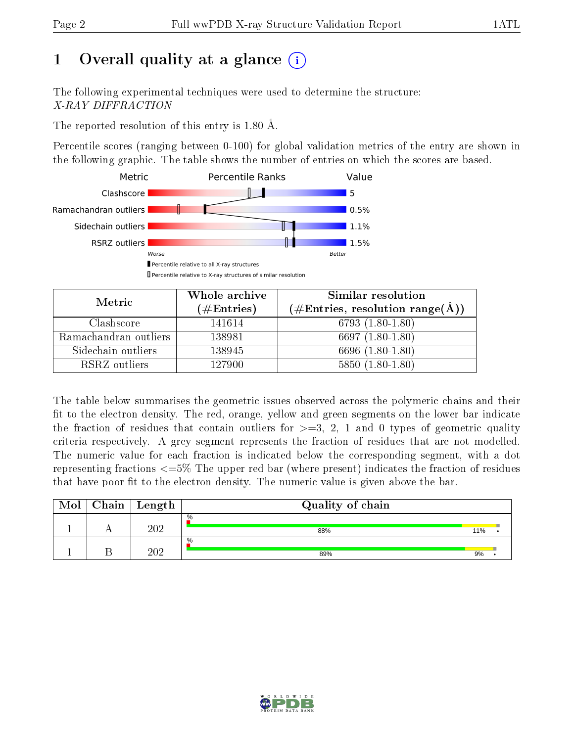# 1 [O](https://www.wwpdb.org/validation/2017/XrayValidationReportHelp#overall_quality)verall quality at a glance  $(i)$

The following experimental techniques were used to determine the structure: X-RAY DIFFRACTION

The reported resolution of this entry is 1.80 Å.

Percentile scores (ranging between 0-100) for global validation metrics of the entry are shown in the following graphic. The table shows the number of entries on which the scores are based.



| Metric                | Whole archive<br>$(\#\text{Entries})$ | Similar resolution<br>$(\#\text{Entries}, \text{resolution range}(\text{\AA}))$ |  |  |
|-----------------------|---------------------------------------|---------------------------------------------------------------------------------|--|--|
| Clashscore            | 141614                                | $6793(1.80-1.80)$                                                               |  |  |
| Ramachandran outliers | 138981                                | 6697 $(1.80-1.80)$                                                              |  |  |
| Sidechain outliers    | 138945                                | 6696 (1.80-1.80)                                                                |  |  |
| RSRZ outliers         | 127900                                | $5850(1.80-1.80)$                                                               |  |  |

The table below summarises the geometric issues observed across the polymeric chains and their fit to the electron density. The red, orange, yellow and green segments on the lower bar indicate the fraction of residues that contain outliers for  $\geq=3$ , 2, 1 and 0 types of geometric quality criteria respectively. A grey segment represents the fraction of residues that are not modelled. The numeric value for each fraction is indicated below the corresponding segment, with a dot representing fractions  $\epsilon = 5\%$  The upper red bar (where present) indicates the fraction of residues that have poor fit to the electron density. The numeric value is given above the bar.

| Mol | Chain | Length | Quality of chain |     |  |
|-----|-------|--------|------------------|-----|--|
|     |       | 202    | $\%$<br>88%      | 11% |  |
|     |       | 202    | $\%$<br>89%      | 9%  |  |

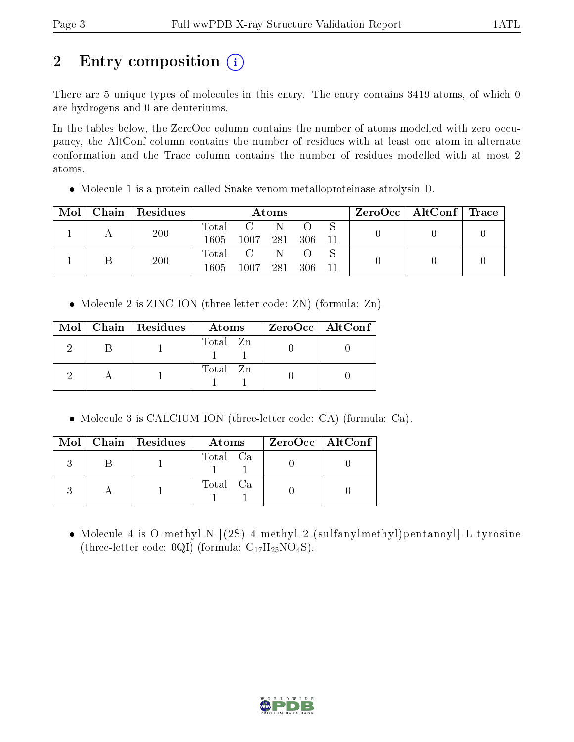# 2 Entry composition (i)

There are 5 unique types of molecules in this entry. The entry contains 3419 atoms, of which 0 are hydrogens and 0 are deuteriums.

In the tables below, the ZeroOcc column contains the number of atoms modelled with zero occupancy, the AltConf column contains the number of residues with at least one atom in alternate conformation and the Trace column contains the number of residues modelled with at most 2 atoms.

• Molecule 1 is a protein called Snake venom metalloproteinase atrolysin-D.

| Mol |  | Chain   Residues | Atoms       |      |     |      |  |  | $\text{ZeroOcc}$   AltConf   Trace |  |
|-----|--|------------------|-------------|------|-----|------|--|--|------------------------------------|--|
|     |  | 200              | Total       |      | -N  |      |  |  |                                    |  |
|     |  |                  | 1605        | 1007 | 281 | -306 |  |  |                                    |  |
|     |  | 200              | $\rm Total$ |      |     |      |  |  |                                    |  |
|     |  |                  | 1605        | 1007 | 281 | 306  |  |  |                                    |  |

Molecule 2 is ZINC ION (three-letter code: ZN) (formula: Zn).

|  | $Mol$   Chain   Residues | Atoms    | ZeroOcc   AltConf |
|--|--------------------------|----------|-------------------|
|  |                          | Total Zn |                   |
|  |                          | Total Zn |                   |

Molecule 3 is CALCIUM ION (three-letter code: CA) (formula: Ca).

|  | $Mol$   Chain   Residues | Atoms    | $ZeroOcc$   AltConf |
|--|--------------------------|----------|---------------------|
|  |                          | Total Ca |                     |
|  |                          | Total Ca |                     |

• Molecule 4 is O-methyl-N-[(2S)-4-methyl-2-(sulfanylmethyl)pentanoyl]-L-tyrosine (three-letter code:  $0QI$ ) (formula:  $C_{17}H_{25}NO_4S$ ).

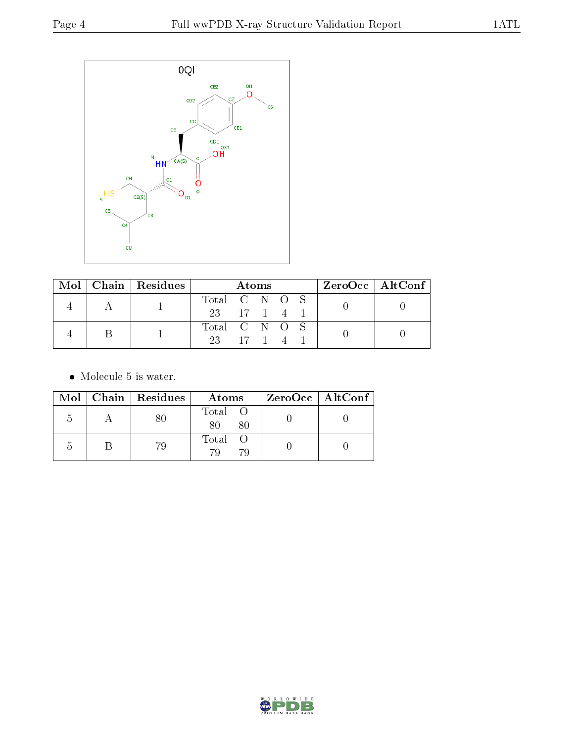

|  | $Mol$   Chain   Residues |               | <b>Atoms</b> |  | $ZeroOcc \   \$ AltConf |  |
|--|--------------------------|---------------|--------------|--|-------------------------|--|
|  |                          | Total C N O S |              |  |                         |  |
|  |                          | 23 17 1 4 1   |              |  |                         |  |
|  |                          | Total C N O S |              |  |                         |  |
|  |                          | 23 17 1 4     |              |  |                         |  |

• Molecule 5 is water.

|               | Mol   Chain   Residues | Atoms             | ZeroOcc   AltConf |
|---------------|------------------------|-------------------|-------------------|
| $\mathcal{L}$ |                        | Total O<br>80     |                   |
|               | 79.                    | Total<br>70<br>70 |                   |

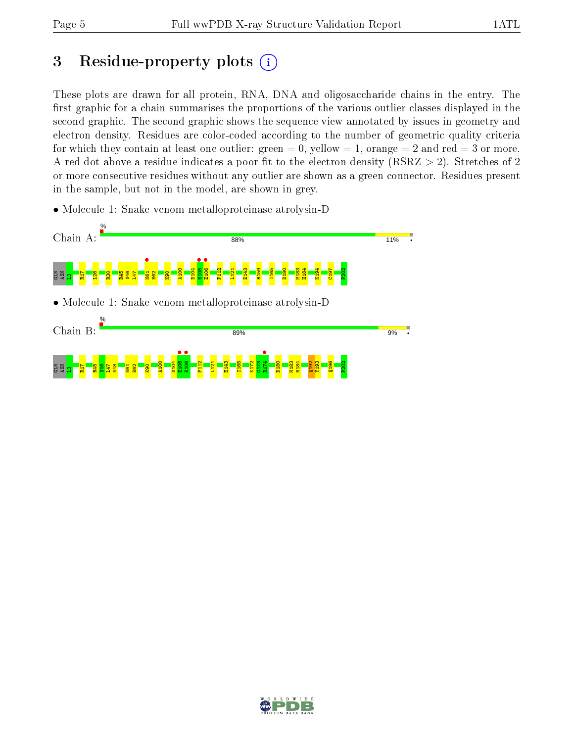# 3 Residue-property plots  $(i)$

These plots are drawn for all protein, RNA, DNA and oligosaccharide chains in the entry. The first graphic for a chain summarises the proportions of the various outlier classes displayed in the second graphic. The second graphic shows the sequence view annotated by issues in geometry and electron density. Residues are color-coded according to the number of geometric quality criteria for which they contain at least one outlier: green  $= 0$ , yellow  $= 1$ , orange  $= 2$  and red  $= 3$  or more. A red dot above a residue indicates a poor fit to the electron density ( $\text{RSRZ} > 2$ ). Stretches of 2 or more consecutive residues without any outlier are shown as a green connector. Residues present in the sample, but not in the model, are shown in grey.

• Molecule 1: Snake venom metalloproteinase atrolysin-D



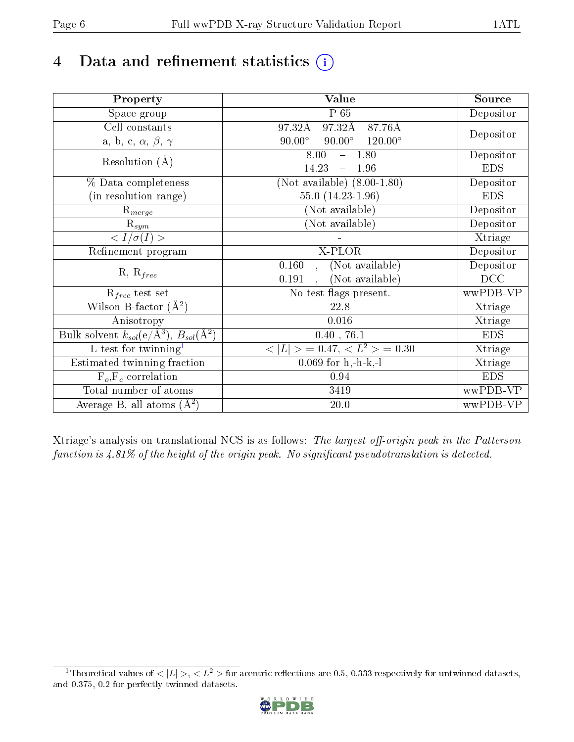# 4 Data and refinement statistics  $(i)$

| Property                                                             | Value                                              | Source     |
|----------------------------------------------------------------------|----------------------------------------------------|------------|
| Space group                                                          | P 65                                               | Depositor  |
| Cell constants                                                       | 97.32Å<br>87.76Å<br>97.32Å                         |            |
| a, b, c, $\alpha$ , $\beta$ , $\gamma$                               | $90.00^\circ$<br>$90.00^\circ$<br>$120.00^{\circ}$ | Depositor  |
| Resolution $(A)$                                                     | $-1.80$<br>8.00                                    | Depositor  |
|                                                                      | 14.23<br>1.96<br>$\equiv$                          | <b>EDS</b> |
| % Data completeness                                                  | (Not available) $(8.00-1.80)$                      | Depositor  |
| (in resolution range)                                                | 55.0 $(14.23 - 1.96)$                              | <b>EDS</b> |
| $R_{merge}$                                                          | (Not available)                                    | Depositor  |
| $\mathrm{R}_{sym}$                                                   | (Not available)                                    | Depositor  |
| $\langle I/\sigma(I)\rangle$                                         |                                                    | Xtriage    |
| Refinement program                                                   | X-PLOR                                             | Depositor  |
|                                                                      | (Not available)<br>0.160<br>$\mathcal{A}^{\pm}$    | Depositor  |
| $R, R_{free}$                                                        | (Not available)<br>0.191<br>$\ddot{\phantom{a}}$   | DCC        |
| $R_{free}$ test set                                                  | No test flags present.                             | wwPDB-VP   |
| Wilson B-factor $(A^2)$                                              | 22.8                                               | Xtriage    |
| Anisotropy                                                           | 0.016                                              | Xtriage    |
| Bulk solvent $k_{sol}(e/\mathring{A}^3)$ , $B_{sol}(\mathring{A}^2)$ | $0.40$ , 76.1                                      | <b>EDS</b> |
| L-test for twinning <sup>1</sup>                                     | $< L >$ = 0.47, $< L2 >$ = 0.30                    | Xtriage    |
| Estimated twinning fraction                                          | $0.069$ for h,-h-k,-l                              | Xtriage    |
| $F_o, F_c$ correlation                                               | 0.94                                               | <b>EDS</b> |
| Total number of atoms                                                | 3419                                               | wwPDB-VP   |
| Average B, all atoms $(A^2)$                                         | 20.0                                               | wwPDB-VP   |

Xtriage's analysis on translational NCS is as follows: The largest off-origin peak in the Patterson function is  $4.81\%$  of the height of the origin peak. No significant pseudotranslation is detected.

<span id="page-5-0"></span><sup>&</sup>lt;sup>1</sup>Theoretical values of  $\langle |L| \rangle$ ,  $\langle L^2 \rangle$  for acentric reflections are 0.5, 0.333 respectively for untwinned datasets, and 0.375, 0.2 for perfectly twinned datasets.

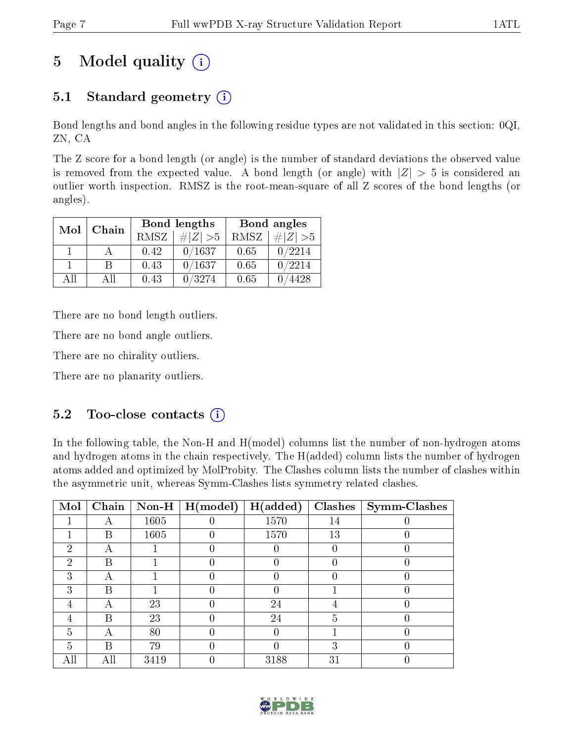# 5 Model quality  $(i)$

## 5.1 Standard geometry  $(i)$

Bond lengths and bond angles in the following residue types are not validated in this section: 0QI, ZN, CA

The Z score for a bond length (or angle) is the number of standard deviations the observed value is removed from the expected value. A bond length (or angle) with  $|Z| > 5$  is considered an outlier worth inspection. RMSZ is the root-mean-square of all Z scores of the bond lengths (or angles).

| Mol | Chain |             | Bond lengths | Bond angles |             |  |
|-----|-------|-------------|--------------|-------------|-------------|--|
|     |       | <b>RMSZ</b> | $\# Z  > 5$  | RMSZ        | $\# Z  > 5$ |  |
|     |       | 0.42        | 0/1637       | 0.65        | 0/2214      |  |
|     |       | 0.43        | 0/1637       | 0.65        | 0/2214      |  |
| ΑĦ  | A 11  | 0.43        | 0/3274       | 0.65        | 4428        |  |

There are no bond length outliers.

There are no bond angle outliers.

There are no chirality outliers.

There are no planarity outliers.

### $5.2$  Too-close contacts  $\overline{()}$

In the following table, the Non-H and H(model) columns list the number of non-hydrogen atoms and hydrogen atoms in the chain respectively. The H(added) column lists the number of hydrogen atoms added and optimized by MolProbity. The Clashes column lists the number of clashes within the asymmetric unit, whereas Symm-Clashes lists symmetry related clashes.

| Mol |   |      | $\fbox{Chain}$ Non-H   H(model) | H(added) |    | $Clashes$   Symm-Clashes |
|-----|---|------|---------------------------------|----------|----|--------------------------|
|     |   | 1605 |                                 | 1570     | 14 |                          |
|     | B | 1605 |                                 | 1570     | 13 |                          |
| 2   |   |      |                                 |          |    |                          |
| 2   | В |      |                                 |          |    |                          |
| 3   |   |      |                                 |          |    |                          |
| 3   | В |      |                                 |          |    |                          |
|     |   | 23   |                                 | 24       |    |                          |
|     | В | 23   |                                 | 24       | 5  |                          |
| 5   |   | 80   |                                 |          |    |                          |
| 5   | В | 79   |                                 |          |    |                          |
|     |   | 3419 |                                 | 3188     | 31 |                          |

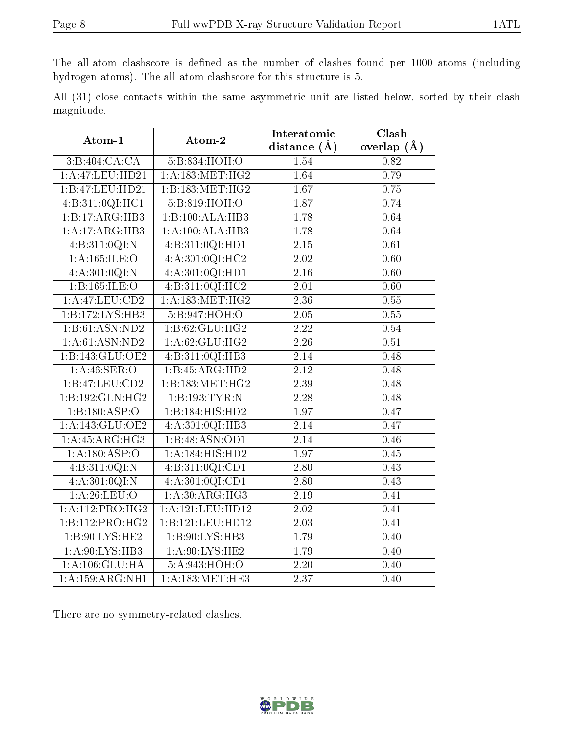The all-atom clashscore is defined as the number of clashes found per 1000 atoms (including hydrogen atoms). The all-atom clashscore for this structure is 5.

All (31) close contacts within the same asymmetric unit are listed below, sorted by their clash magnitude.

| Atom-1                            | Atom-2             | Interatomic       | Clash             |
|-----------------------------------|--------------------|-------------------|-------------------|
|                                   |                    | distance $(A)$    | overlap $(A)$     |
| 3:B:404:CA:CA                     | 5:B:834:HOH:O      | 1.54              | 0.82              |
| 1:A:47:LEU:HD21                   | 1:A:183:MET:HG2    | 1.64              | 0.79              |
| 1:B:47:LEU:HD21                   | 1:B:183:MET:HG2    | 1.67              | 0.75              |
| 4:B:311:0QI:HC1                   | 5:B:819:HOH:O      | 1.87              | 0.74              |
| 1:B:17:ARG:HB3                    | 1:B:100:ALA:HB3    | 1.78              | 0.64              |
| 1:A:17:ARG:HB3                    | 1:A:100:ALA:HB3    | 1.78              | 0.64              |
| 4:B:311:0QI:N                     | 4:B:311:0QI:HD1    | $2.15\,$          | 0.61              |
| 1: A: 165: ILE: O                 | 4: A:301:0QI:HC2   | 2.02              | 0.60              |
| 4:A:301:0QI:N                     | 4: A:301:0QI:HD1   | $\overline{2.16}$ | $\overline{0.60}$ |
| 1:B:165:ILE:O                     | 4:B:311:0QI:HC2    | $\overline{2.01}$ | $\overline{0.60}$ |
| 1:A:47:LEU:CD2                    | 1: A: 183: MET:HG2 | $\overline{2.36}$ | 0.55              |
| 1:B:172:LYS:HB3                   | 5:B:947:HOH:O      | 2.05              | 0.55              |
| 1:B:61:ASN:ND2                    | 1:B:62:GLU:HG2     | $\overline{2.22}$ | 0.54              |
| 1: A:61: ASN:ND2                  | 1:A:62:GLU:HG2     | 2.26              | 0.51              |
| 1:B:143:GLU:OE2                   | 4:B:311:0QI:HB3    | 2.14              | 0.48              |
| $1: A:46:\overline{\text{SER}:O}$ | 1:B:45:ARG:HD2     | $\overline{2.12}$ | 0.48              |
| 1:B:47:LEU:CD2                    | 1:B:183:MET:HG2    | $\overline{2.39}$ | 0.48              |
| 1:B:192:GLN:HG2                   | 1:B:193:TYR:N      | 2.28              | 0.48              |
| 1:B:180:ASP:O                     | 1:B:184:HIS:HD2    | 1.97              | 0.47              |
| 1:A:143:GLU:OE2                   | 4:A:301:0QI:HB3    | $\overline{2.14}$ | 0.47              |
| 1:A:45:ARG:HG3                    | 1:B:48:ASN:OD1     | 2.14              | 0.46              |
| 1:A:180:ASP:O                     | 1:A:184:HIS:HD2    | 1.97              | 0.45              |
| 4:B:311:0QI:N                     | 4:B:311:0QI:CD1    | 2.80              | 0.43              |
| 4: A:301:0QI:N                    | 4: A:301:0QI:CD1   | 2.80              | 0.43              |
| $1:$ A:26:LEU: $O$                | 1:A:30:ARG:HG3     | 2.19              | 0.41              |
| 1:A:112:PRO:HG2                   | 1:A:121:LEU:HD12   | 2.02              | 0.41              |
| 1:B:112:PRO:HG2                   | 1:B:121:LEU:HD12   | 2.03              | 0.41              |
| 1:B:90:LYS:HE2                    | 1:B:90:LYS:HB3     | 1.79              | 0.40              |
| 1: A:90: LYS: HB3                 | 1: A:90: LYS: HE2  | 1.79              | 0.40              |
| 1: A: 106: GLU: HA                | 5:A:943:HOH:O      | 2.20              | 0.40              |
| 1:A:159:ARG:NH1                   | 1: A:183:MET:HE3   | $\overline{2.37}$ | 0.40              |

There are no symmetry-related clashes.

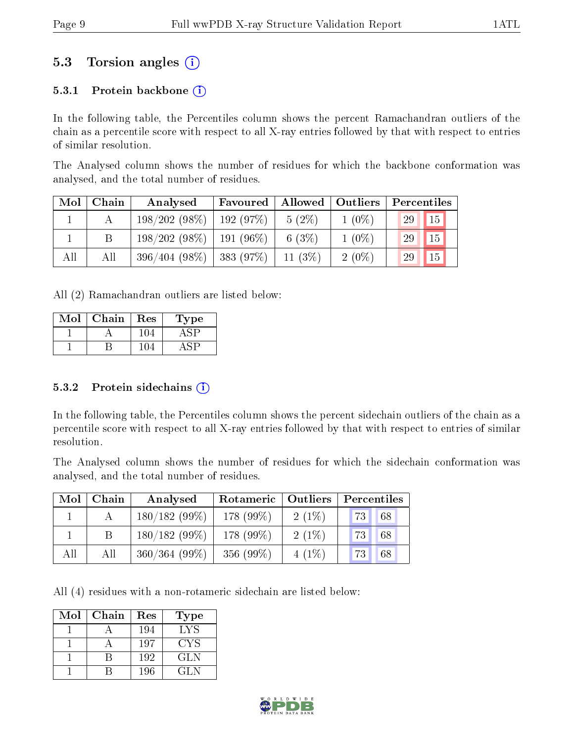### 5.3 Torsion angles (i)

#### 5.3.1 Protein backbone  $(i)$

In the following table, the Percentiles column shows the percent Ramachandran outliers of the chain as a percentile score with respect to all X-ray entries followed by that with respect to entries of similar resolution.

The Analysed column shows the number of residues for which the backbone conformation was analysed, and the total number of residues.

| Mol | Chain | Analysed        | Favoured     | Allowed    | Outliers | Percentiles           |
|-----|-------|-----------------|--------------|------------|----------|-----------------------|
|     |       | 198/202(98%)    | 192(97%)     | $5(2\%)$   | $1(0\%)$ | 29<br>$\overline{15}$ |
|     |       | 198/202(98%)    | $191(96\%)$  | 6 $(3%)$   | $1(0\%)$ | 15<br>29              |
| All | All   | $396/404(98\%)$ | $ 383(97\%)$ | 11 $(3\%)$ | $2(0\%)$ | 15<br>29              |

All (2) Ramachandran outliers are listed below:

| Mol | Chain | Res | L'ype |
|-----|-------|-----|-------|
|     |       |     |       |
|     |       |     |       |

#### 5.3.2 Protein sidechains  $(i)$

In the following table, the Percentiles column shows the percent sidechain outliers of the chain as a percentile score with respect to all X-ray entries followed by that with respect to entries of similar resolution.

The Analysed column shows the number of residues for which the sidechain conformation was analysed, and the total number of residues.

| Mol | ${\bf Chain}$ | Analysed        | Rotameric<br>  Outliers |          | Percentiles |  |  |
|-----|---------------|-----------------|-------------------------|----------|-------------|--|--|
|     |               | $180/182(99\%)$ | 178 (99%)               | $2(1\%)$ | 68<br>73    |  |  |
|     |               | $180/182(99\%)$ | 178 (99%)               | $2(1\%)$ | 73<br>68    |  |  |
| All | All           | 360/364(99%)    | 356 (99%)               | $4(1\%)$ | 68<br>73    |  |  |

All (4) residues with a non-rotameric sidechain are listed below:

| Mol | Chain | Res | Type |
|-----|-------|-----|------|
|     |       | 194 | LYS  |
|     |       | 197 | CYS  |
|     |       | 192 | GLN. |
|     |       | 196 | GL N |

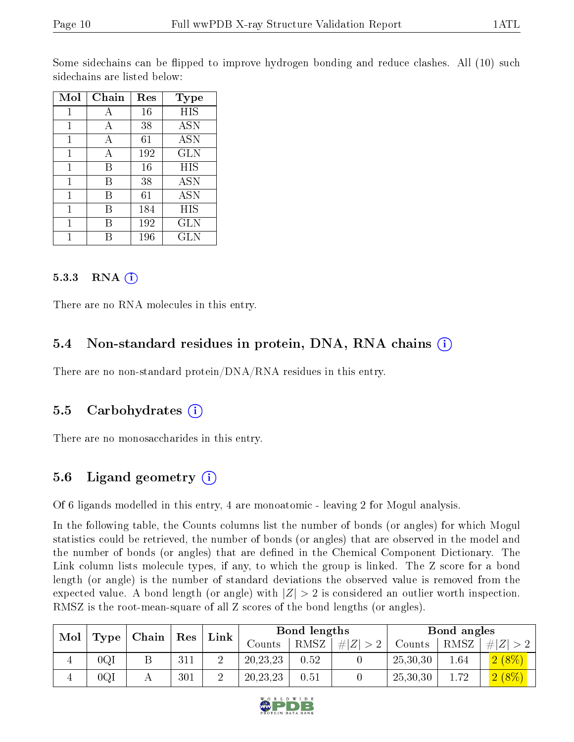Some sidechains can be flipped to improve hydrogen bonding and reduce clashes. All (10) such sidechains are listed below:

| Mol | Chain | Res | Type       |
|-----|-------|-----|------------|
| 1   |       | 16  | HIS        |
| 1   | А     | 38  | <b>ASN</b> |
| 1   | А     | 61  | <b>ASN</b> |
| 1   | А     | 192 | <b>GLN</b> |
| 1   | B     | 16  | HIS        |
| 1   | B     | 38  | <b>ASN</b> |
| 1   | В     | 61  | <b>ASN</b> |
| 1   | В     | 184 | HIS        |
| 1   | В     | 192 | <b>GLN</b> |
|     |       | 196 | GLN        |

#### 5.3.3 RNA (i)

There are no RNA molecules in this entry.

#### 5.4 Non-standard residues in protein, DNA, RNA chains (i)

There are no non-standard protein/DNA/RNA residues in this entry.

#### 5.5 Carbohydrates (i)

There are no monosaccharides in this entry.

### 5.6 Ligand geometry (i)

Of 6 ligands modelled in this entry, 4 are monoatomic - leaving 2 for Mogul analysis.

In the following table, the Counts columns list the number of bonds (or angles) for which Mogul statistics could be retrieved, the number of bonds (or angles) that are observed in the model and the number of bonds (or angles) that are dened in the Chemical Component Dictionary. The Link column lists molecule types, if any, to which the group is linked. The Z score for a bond length (or angle) is the number of standard deviations the observed value is removed from the expected value. A bond length (or angle) with  $|Z| > 2$  is considered an outlier worth inspection. RMSZ is the root-mean-square of all Z scores of the bond lengths (or angles).

| Mol |      | $\mid$ Chain $\mid$ | $\vert$ Res | Link          |            | Bond lengths |             |          | Bond angles |             |
|-----|------|---------------------|-------------|---------------|------------|--------------|-------------|----------|-------------|-------------|
|     | Type |                     |             |               | Counts     | RMSZ         | # $ Z  > 2$ | Counts   | RMSZ        | # $ Z  > 2$ |
|     | 0QI  |                     | 311         | ച             | 20, 23, 23 | 0.52         |             | 25,30,30 | 1.64        | $2(8\%)$    |
|     | 0QI  |                     | 301         | $\Omega$<br>↩ | 20, 23, 23 | 0.51         |             | 25,30,30 | 1.72        | $2(8\%)$    |

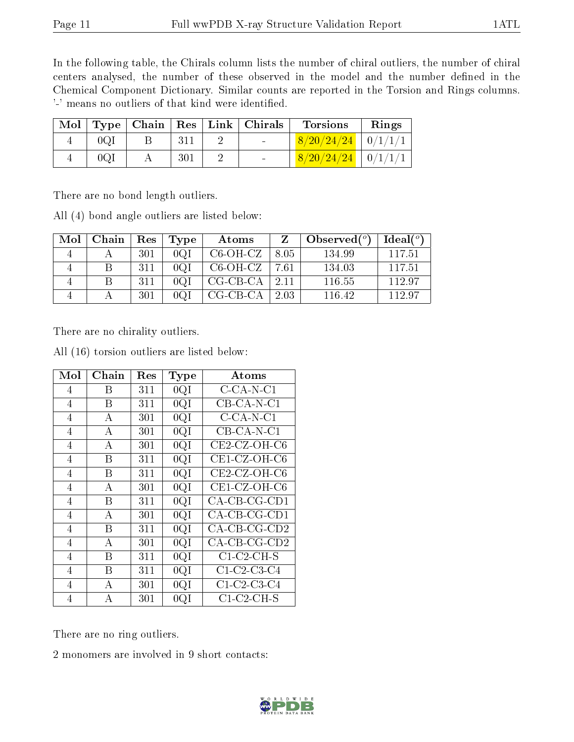In the following table, the Chirals column lists the number of chiral outliers, the number of chiral centers analysed, the number of these observed in the model and the number defined in the Chemical Component Dictionary. Similar counts are reported in the Torsion and Rings columns. '-' means no outliers of that kind were identified.

| $\bf{Mol}$ |     |     | Type   Chain   Res   Link   Chirals | <b>Torsions</b>          | Rings |
|------------|-----|-----|-------------------------------------|--------------------------|-------|
|            | 0QI |     | <b>Contract Contract</b>            | $8/20/24/24$   $0/1/1/1$ |       |
|            | 0QI | 301 |                                     | $8/20/24/24$   $0/1/1/1$ |       |

There are no bond length outliers.

All (4) bond angle outliers are listed below:

| Mol | Chain | $\operatorname{Res}$ | Type | Atoms      | Z     | Observed $(°)$ | Ideal(°) |
|-----|-------|----------------------|------|------------|-------|----------------|----------|
|     |       | 301                  | 0QI  | $C6-OH-CZ$ | 8.05  | 134.99         | 117.51   |
|     |       | -311                 | 0QI  | $C6-OH-CZ$ | 7.61  | 134.03         | 117.51   |
|     |       | 311                  | 0QI  | $CG-CB-CA$ | -2.11 | 116.55         | 112.97   |
|     |       | 301                  | 0Q1  | CG-CB-CA   | 2.03  | 116.42         | 112.97   |

There are no chirality outliers.

| Mol            | ${\rm Chain}$ | Res | Type | Atoms           |
|----------------|---------------|-----|------|-----------------|
| 4              | Β             | 311 | 0QI  | $C$ -CA-N-C1    |
| 4              | В             | 311 | 0QI  | $CB$ -CA-N-C1   |
| 4              | Α             | 301 | 0QI  | $C$ -CA-N-C1    |
| $\overline{4}$ | А             | 301 | 0QI  | $CB$ -CA-N-C1   |
| 4              | А             | 301 | 0QI  | $CE2$ -CZ-OH-C6 |
| 4              | Β             | 311 | 0QI  | CE1-CZ-OH-C6    |
| 4              | В             | 311 | 0QI  | CE2-CZ-OH-C6    |
| $\overline{4}$ | А             | 301 | 0QI  | CE1-CZ-OH-C6    |
| 4              | В             | 311 | 0QI  | CA-CB-CG-CD1    |
| 4              | А             | 301 | 0QI  | CA-CB-CG-CD1    |
| $\overline{4}$ | В             | 311 | 0QI  | $CA$ -CB-CG-CD2 |
| 4              | А             | 301 | 0QI  | $CA$ -CB-CG-CD2 |
| 4              | Β             | 311 | 0QI  | C1-C2-CH-S      |
| 4              | В             | 311 | 0QI  | $C1-C2-C3-C4$   |
| 4              | А             | 301 | 0QI  | $C1-C2-C3-C4$   |
| 4              | А             | 301 | 0QI  | $C1-C2-CH-S$    |

All (16) torsion outliers are listed below:

There are no ring outliers.

2 monomers are involved in 9 short contacts:

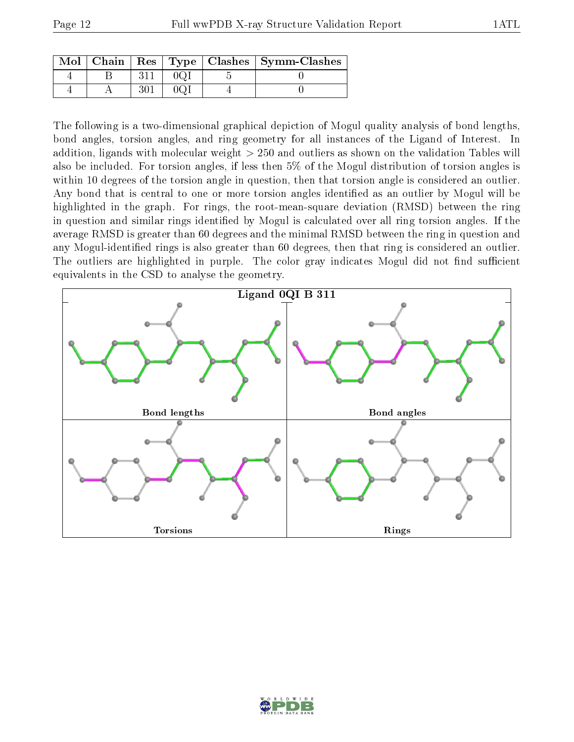|  |  | Mol   Chain   Res   Type   Clashes   Symm-Clashes |
|--|--|---------------------------------------------------|
|  |  |                                                   |
|  |  |                                                   |

The following is a two-dimensional graphical depiction of Mogul quality analysis of bond lengths, bond angles, torsion angles, and ring geometry for all instances of the Ligand of Interest. In addition, ligands with molecular weight > 250 and outliers as shown on the validation Tables will also be included. For torsion angles, if less then 5% of the Mogul distribution of torsion angles is within 10 degrees of the torsion angle in question, then that torsion angle is considered an outlier. Any bond that is central to one or more torsion angles identified as an outlier by Mogul will be highlighted in the graph. For rings, the root-mean-square deviation (RMSD) between the ring in question and similar rings identified by Mogul is calculated over all ring torsion angles. If the average RMSD is greater than 60 degrees and the minimal RMSD between the ring in question and any Mogul-identified rings is also greater than 60 degrees, then that ring is considered an outlier. The outliers are highlighted in purple. The color gray indicates Mogul did not find sufficient equivalents in the CSD to analyse the geometry.



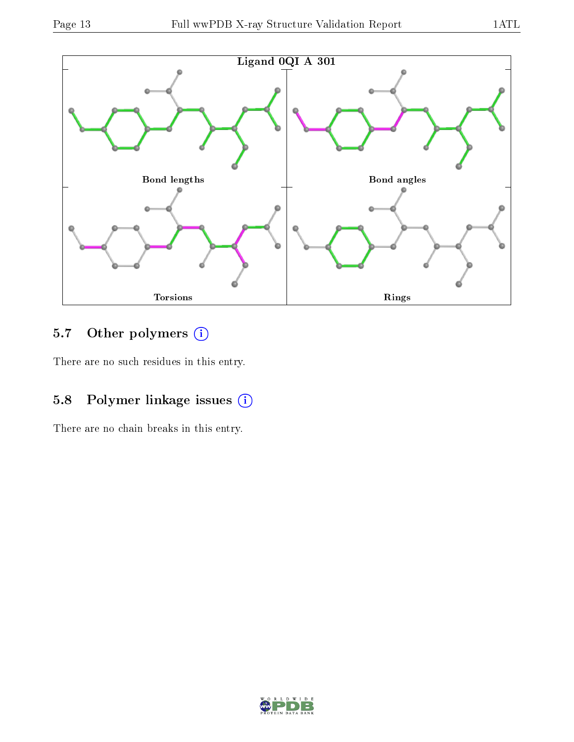

## 5.7 [O](https://www.wwpdb.org/validation/2017/XrayValidationReportHelp#nonstandard_residues_and_ligands)ther polymers (i)

There are no such residues in this entry.

### 5.8 Polymer linkage issues (i)

There are no chain breaks in this entry.

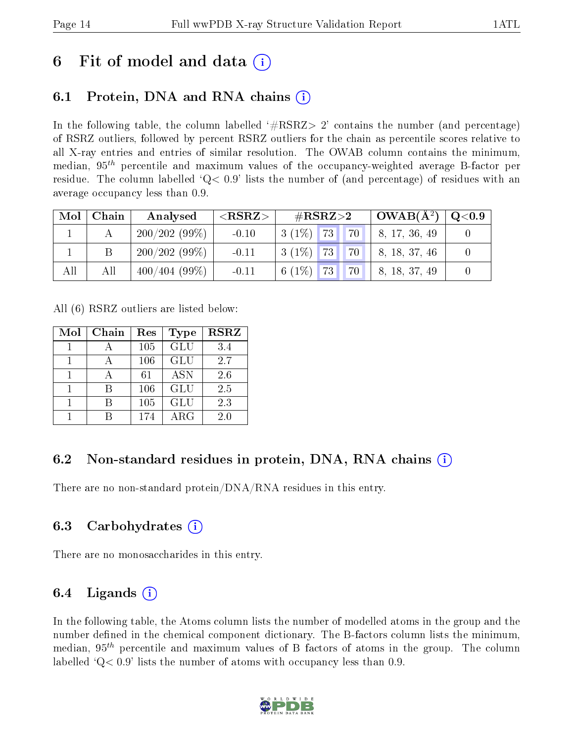# 6 Fit of model and data  $\left( \cdot \right)$

## 6.1 Protein, DNA and RNA chains (i)

In the following table, the column labelled  $#RSRZ>2'$  contains the number (and percentage) of RSRZ outliers, followed by percent RSRZ outliers for the chain as percentile scores relative to all X-ray entries and entries of similar resolution. The OWAB column contains the minimum, median,  $95<sup>th</sup>$  percentile and maximum values of the occupancy-weighted average B-factor per residue. The column labelled ' $Q< 0.9$ ' lists the number of (and percentage) of residues with an average occupancy less than 0.9.

| Mol | Chain | Analysed     | ${ <\hspace{-1.5pt}{\mathrm{RSRZ}} \hspace{-1.5pt}>}$ | $\#\text{RSRZ}\text{>2}$           | $\overline{\rm 1-OWAB(A^2)}$ | $\mathrm{Q}{<}0.9$ |
|-----|-------|--------------|-------------------------------------------------------|------------------------------------|------------------------------|--------------------|
|     |       | 200/202(99%) | $-0.10$                                               | 73 <br>70 <sup>1</sup><br>$3(1\%)$ | 8, 17, 36, 49                |                    |
|     |       | 200/202(99%) | $-0.11$                                               | $3(1\%)$ 73<br>$\vert 70 \vert$    | 8, 18, 37, 46                |                    |
| All | Αll   | 400/404(99%) | $-0.11$                                               | $6(1\%)$<br>70<br><b>73</b>        | 8, 18, 37, 49                |                    |

All (6) RSRZ outliers are listed below:

| Mol | Chain | Res | <b>Type</b> | <b>RSRZ</b> |  |
|-----|-------|-----|-------------|-------------|--|
|     |       | 105 | GLU         | 3.4         |  |
|     |       | 106 | <b>GLU</b>  | 2.7         |  |
|     |       | 61  | <b>ASN</b>  | 2.6         |  |
|     | R     | 106 | GLU         | 2.5         |  |
|     |       | 105 | <b>GLU</b>  | 2.3         |  |
|     |       | 174 | $\rm{ARG}$  | 2.0         |  |

### 6.2 Non-standard residues in protein, DNA, RNA chains  $(i)$

There are no non-standard protein/DNA/RNA residues in this entry.

### 6.3 Carbohydrates (i)

There are no monosaccharides in this entry.

### 6.4 Ligands  $(i)$

In the following table, the Atoms column lists the number of modelled atoms in the group and the number defined in the chemical component dictionary. The B-factors column lists the minimum, median,  $95<sup>th</sup>$  percentile and maximum values of B factors of atoms in the group. The column labelled  $Q< 0.9$ ' lists the number of atoms with occupancy less than 0.9.

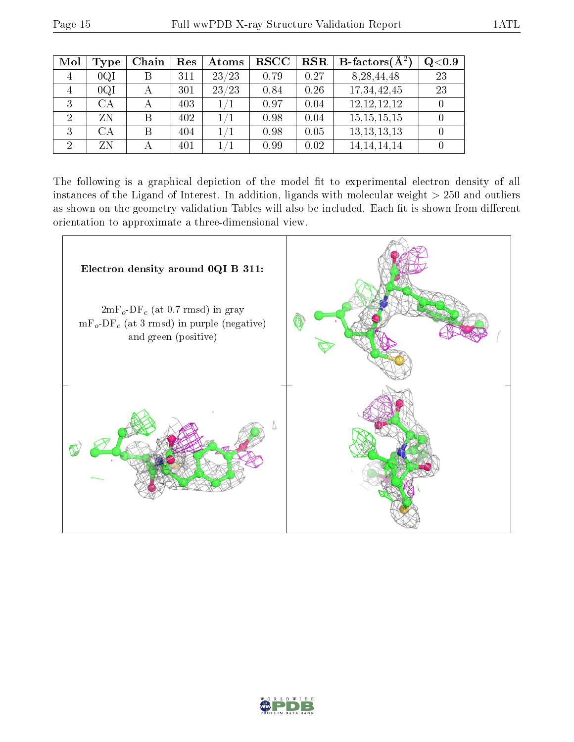| Mol            | Type | Chain | Res | Atoms | <b>RSCC</b> | RSR  | <b>B</b> -factors( $\AA^2$ ) | $Q<$ 0.9 |
|----------------|------|-------|-----|-------|-------------|------|------------------------------|----------|
| 4              | 0QI  |       | 311 | 23/23 | 0.79        | 0.27 | 8, 28, 44, 48                | 23       |
| 4              | 0QI  |       | 301 | 23/23 | 0.84        | 0.26 | 17,34,42,45                  | 23       |
| 3              | CA   |       | 403 | 1/1   | 0.97        | 0.04 | 12, 12, 12, 12               |          |
| $\overline{2}$ | ZN   |       | 402 | 1/    | 0.98        | 0.04 | 15, 15, 15, 15               |          |
| 3              | CА   |       | 404 | 1/1   | 0.98        | 0.05 | 13, 13, 13, 13               |          |
| $\overline{2}$ | ΖN   |       | 401 |       | 0.99        | 0.02 | 14, 14, 14, 14               |          |

The following is a graphical depiction of the model fit to experimental electron density of all instances of the Ligand of Interest. In addition, ligands with molecular weight  $> 250$  and outliers as shown on the geometry validation Tables will also be included. Each fit is shown from different orientation to approximate a three-dimensional view.